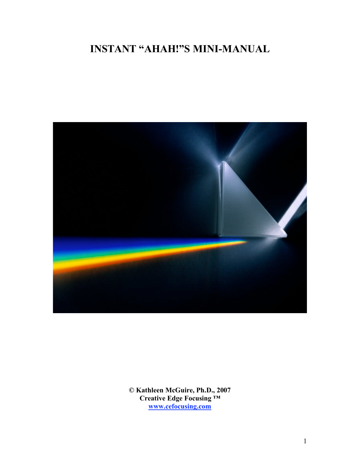# **INSTANT "AHAH!"S MINI-MANUAL**



**© Kathleen McGuire, Ph.D., 2007 Creative Edge Focusing ™ www.cefocusing.com**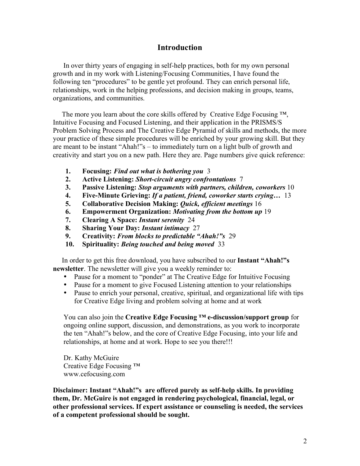### **Introduction**

In over thirty years of engaging in self-help practices, both for my own personal growth and in my work with Listening/Focusing Communities, I have found the following ten "procedures" to be gentle yet profound. They can enrich personal life, relationships, work in the helping professions, and decision making in groups, teams, organizations, and communities.

The more you learn about the core skills offered by Creative Edge Focusing  $TM$ , Intuitive Focusing and Focused Listening, and their application in the PRISMS/S Problem Solving Process and The Creative Edge Pyramid of skills and methods, the more your practice of these simple procedures will be enriched by your growing skill. But they are meant to be instant "Ahah!"s – to immediately turn on a light bulb of growth and creativity and start you on a new path. Here they are. Page numbers give quick reference:

- **1. Focusing:** *Find out what is bothering you* 3
- **2. Active Listening:** *Short-circuit angry confrontations* 7
- **3. Passive Listening:** *Stop arguments with partners, children, coworkers* 10
- **4. Five-Minute Grieving:** *If a patient, friend, coworker starts crying…* 13
- **5. Collaborative Decision Making:** *Quick, efficient meetings* 16
- **6. Empowerment Organization:** *Motivating from the bottom up* 19
- **7. Clearing A Space:** *Instant serenity* 24
- **8. Sharing Your Day:** *Instant intimacy* 27
- **9. Creativity:** *From blocks to predictable "Ahah!"s* 29
- **10. Spirituality:** *Being touched and being moved* 33

In order to get this free download, you have subscribed to our **Instant "Ahah!"s newsletter**. The newsletter will give you a weekly reminder to:

- Pause for a moment to "ponder" at The Creative Edge for Intuitive Focusing
- Pause for a moment to give Focused Listening attention to your relationships
- Pause to enrich your personal, creative, spiritual, and organizational life with tips for Creative Edge living and problem solving at home and at work

You can also join the **Creative Edge Focusing ™ e-discussion/support group** for ongoing online support, discussion, and demonstrations, as you work to incorporate the ten "Ahah!"s below, and the core of Creative Edge Focusing, into your life and relationships, at home and at work. Hope to see you there!!!

Dr. Kathy McGuire Creative Edge Focusing ™ www.cefocusing.com

**Disclaimer: Instant "Ahah!"s are offered purely as self-help skills. In providing them, Dr. McGuire is not engaged in rendering psychological, financial, legal, or other professional services. If expert assistance or counseling is needed, the services of a competent professional should be sought.**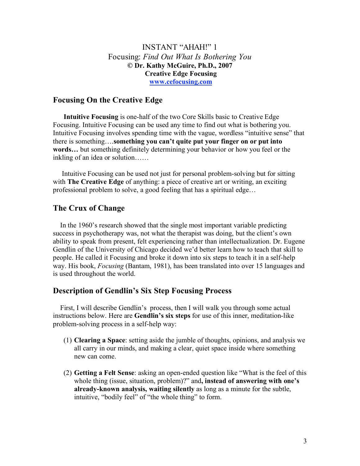### INSTANT "AHAH!" 1 Focusing: *Find Out What Is Bothering You* **© Dr. Kathy McGuire, Ph.D., 2007 Creative Edge Focusing www.cefocusing.com**

### **Focusing On the Creative Edge**

**Intuitive Focusing** is one-half of the two Core Skills basic to Creative Edge Focusing. Intuitive Focusing can be used any time to find out what is bothering you. Intuitive Focusing involves spending time with the vague, wordless "intuitive sense" that there is something….**something you can't quite put your finger on or put into words…** but something definitely determining your behavior or how you feel or the inkling of an idea or solution……

Intuitive Focusing can be used not just for personal problem-solving but for sitting with **The Creative Edge** of anything: a piece of creative art or writing, an exciting professional problem to solve, a good feeling that has a spiritual edge…

### **The Crux of Change**

In the 1960's research showed that the single most important variable predicting success in psychotherapy was, not what the therapist was doing, but the client's own ability to speak from present, felt experiencing rather than intellectualization. Dr. Eugene Gendlin of the University of Chicago decided we'd better learn how to teach that skill to people. He called it Focusing and broke it down into six steps to teach it in a self-help way. His book, *Focusing* (Bantam, 1981), has been translated into over 15 languages and is used throughout the world.

#### **Description of Gendlin's Six Step Focusing Process**

First, I will describe Gendlin's process, then I will walk you through some actual instructions below. Here are **Gendlin's six steps** for use of this inner, meditation-like problem-solving process in a self-help way:

- (1) **Clearing a Space**: setting aside the jumble of thoughts, opinions, and analysis we all carry in our minds, and making a clear, quiet space inside where something new can come.
- (2) **Getting a Felt Sense**: asking an open-ended question like "What is the feel of this whole thing (issue, situation, problem)?" and**, instead of answering with one's already-known analysis, waiting silently** as long as a minute for the subtle, intuitive, "bodily feel" of "the whole thing" to form.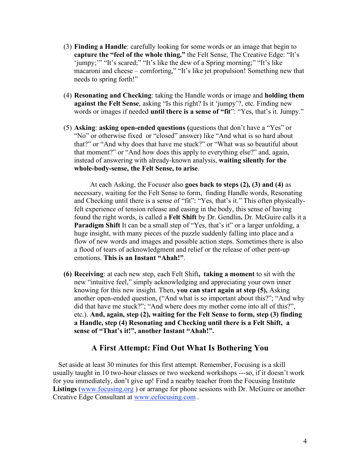- (3) **Finding a Handle**: carefully looking for some words or an image that begin to **capture the "feel of the whole thing,"** the Felt Sense, The Creative Edge: "It's 'jumpy;'" "It's scared;" "It's like the dew of a Spring morning;" "It's like macaroni and cheese – comforting," "It's like jet propulsion! Something new that needs to spring forth!"
- (4) **Resonating and Checking**: taking the Handle words or image and **holding them against the Felt Sense**, asking "Is this right? Is it 'jumpy'?, etc. Finding new words or images if needed **until there is a sense of "fit**": "Yes, that's it. Jumpy."
- (5) **Asking**: **asking open-ended questions (**questions that don't have a "Yes" or "No" or otherwise fixed or "closed" answer) like "And what is so hard about that?" or "And why does that have me stuck?" or "What was so beautiful about that moment?" or "And how does this apply to everything else?" and, again, instead of answering with already-known analysis, **waiting silently for the whole-body-sense, the Felt Sense, to arise**.

At each Asking, the Focuser also **goes back to steps (2), (3) and (4)** as necessary, waiting for the Felt Sense to form, finding Handle words, Resonating and Checking until there is a sense of "fit": "Yes, that's it." This often physicallyfelt experience of tension release and easing in the body, this sense of having found the right words, is called a **Felt Shift** by Dr. Gendlin**.** Dr. McGuire calls it a **Paradigm Shift** It can be a small step of "Yes, that's it" or a larger unfolding, a huge insight, with many pieces of the puzzle suddenly falling into place and a flow of new words and images and possible action steps. Sometimes there is also a flood of tears of acknowledgment and relief or the release of other pent-up emotions. **This is an Instant "Ahah!"**.

**(6) Receiving**: at each new step, each Felt Shift**, taking a moment** to sit with the new "intuitive feel," simply acknowledging and appreciating your own inner knowing for this new insight. Then, **you can start again at step (5),** Asking another open-ended question, ("And what is so important about this?"; "And why did that have me stuck?"; "And where does my mother come into all of this?", etc.). **And, again, step (2), waiting for the Felt Sense to form, step (3) finding a Handle, step (4) Resonating and Checking until there is a Felt Shift, a sense of "That's it!", another Instant "Ahah!".**

#### **A First Attempt: Find Out What Is Bothering You**

Set aside at least 30 minutes for this first attempt. Remember, Focusing is a skill usually taught in 10 two-hour classes or two weekend workshops ---so, if it doesn't work for you immediately, don't give up! Find a nearby teacher from the Focusing Institute **Listings** (www.focusing.org ) or arrange for phone sessions with Dr. McGuire or another Creative Edge Consultant at www.cefocusing.com .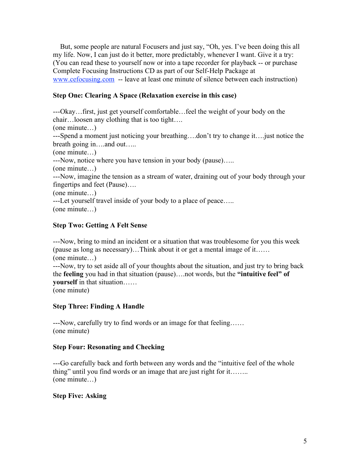But, some people are natural Focusers and just say, "Oh, yes. I've been doing this all my life. Now, I can just do it better, more predictably, whenever I want. Give it a try: (You can read these to yourself now or into a tape recorder for playback -- or purchase Complete Focusing Instructions CD as part of our Self-Help Package at www.cefocusing.com -- leave at least one minute of silence between each instruction)

### **Step One: Clearing A Space (Relaxation exercise in this case)**

---Okay…first, just get yourself comfortable…feel the weight of your body on the chair…loosen any clothing that is too tight…. (one minute…) ---Spend a moment just noticing your breathing….don't try to change it….just notice the breath going in….and out….. (one minute…) ---Now, notice where you have tension in your body (pause)….. (one minute…) ---Now, imagine the tension as a stream of water, draining out of your body through your fingertips and feet (Pause)…. (one minute…) ---Let yourself travel inside of your body to a place of peace….. (one minute…)

### **Step Two: Getting A Felt Sense**

---Now, bring to mind an incident or a situation that was troublesome for you this week (pause as long as necessary)…Think about it or get a mental image of it…… (one minute…)

---Now, try to set aside all of your thoughts about the situation, and just try to bring back the **feeling** you had in that situation (pause)….not words, but the **"intuitive feel" of yourself** in that situation……

(one minute)

### **Step Three: Finding A Handle**

---Now, carefully try to find words or an image for that feeling…… (one minute)

#### **Step Four: Resonating and Checking**

---Go carefully back and forth between any words and the "intuitive feel of the whole thing" until you find words or an image that are just right for it…….. (one minute…)

#### **Step Five: Asking**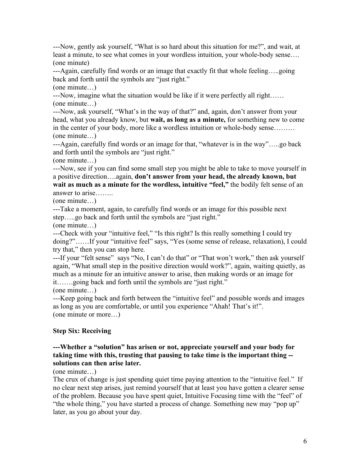---Now, gently ask yourself, "What is so hard about this situation for me?", and wait, at least a minute, to see what comes in your wordless intuition, your whole-body sense…. (one minute)

---Again, carefully find words or an image that exactly fit that whole feeling…..going back and forth until the symbols are "just right."

(one minute…)

---Now, imagine what the situation would be like if it were perfectly all right…… (one minute…)

---Now, ask yourself, "What's in the way of that?" and, again, don't answer from your head, what you already know, but **wait, as long as a minute,** for something new to come in the center of your body, more like a wordless intuition or whole-body sense……… (one minute…)

---Again, carefully find words or an image for that, "whatever is in the way"…..go back and forth until the symbols are "just right."

(one minute…)

---Now, see if you can find some small step you might be able to take to move yourself in a positive direction….again, **don't answer from your head, the already known, but wait as much as a minute for the wordless, intuitive "feel,"** the bodily felt sense of an answer to arise……..

(one minute…)

---Take a moment, again, to carefully find words or an image for this possible next step…..go back and forth until the symbols are "just right."

(one minute…)

---Check with your "intuitive feel," "Is this right? Is this really something I could try doing?"……If your "intuitive feel" says, "Yes (some sense of release, relaxation), I could try that," then you can stop here.

---If your "felt sense" says "No, I can't do that" or "That won't work," then ask yourself again, "What small step in the positive direction would work?", again, waiting quietly, as much as a minute for an intuitive answer to arise, then making words or an image for it…….going back and forth until the symbols are "just right."

(one minute…)

---Keep going back and forth between the "intuitive feel" and possible words and images as long as you are comfortable, or until you experience "Ahah! That's it!". (one minute or more…)

### **Step Six: Receiving**

#### **---Whether a "solution" has arisen or not, appreciate yourself and your body for taking time with this, trusting that pausing to take time is the important thing - solutions can then arise later.**

(one minute…)

The crux of change is just spending quiet time paying attention to the "intuitive feel." If no clear next step arises, just remind yourself that at least you have gotten a clearer sense of the problem. Because you have spent quiet, Intuitive Focusing time with the "feel" of "the whole thing," you have started a process of change. Something new may "pop up" later, as you go about your day.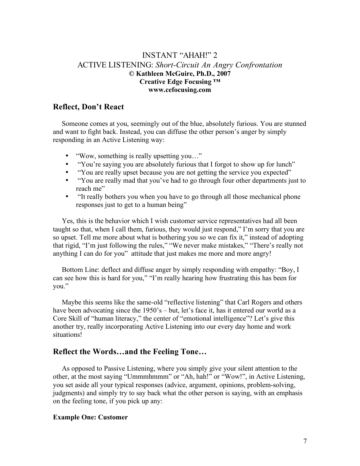### INSTANT "AHAH!" 2 ACTIVE LISTENING: *Short-Circuit An Angry Confrontation* **© Kathleen McGuire, Ph.D., 2007 Creative Edge Focusing ™ www.cefocusing.com**

### **Reflect, Don't React**

Someone comes at you, seemingly out of the blue, absolutely furious. You are stunned and want to fight back. Instead, you can diffuse the other person's anger by simply responding in an Active Listening way:

- "Wow, something is really upsetting you..."
- "You're saying you are absolutely furious that I forgot to show up for lunch"
- "You are really upset because you are not getting the service you expected"
- "You are really mad that you've had to go through four other departments just to reach me"
- "It really bothers you when you have to go through all those mechanical phone responses just to get to a human being"

Yes, this is the behavior which I wish customer service representatives had all been taught so that, when I call them, furious, they would just respond," I'm sorry that you are so upset. Tell me more about what is bothering you so we can fix it," instead of adopting that rigid, "I'm just following the rules," "We never make mistakes," "There's really not anything I can do for you" attitude that just makes me more and more angry!

Bottom Line: deflect and diffuse anger by simply responding with empathy: "Boy, I can see how this is hard for you," "I'm really hearing how frustrating this has been for you."

Maybe this seems like the same-old "reflective listening" that Carl Rogers and others have been advocating since the 1950's – but, let's face it, has it entered our world as a Core Skill of "human literacy," the center of "emotional intelligence"? Let's give this another try, really incorporating Active Listening into our every day home and work situations!

#### **Reflect the Words…and the Feeling Tone…**

As opposed to Passive Listening, where you simply give your silent attention to the other, at the most saying "Ummmhmmm" or "Ah, hah!" or "Wow!", in Active Listening, you set aside all your typical responses (advice, argument, opinions, problem-solving, judgments) and simply try to say back what the other person is saying, with an emphasis on the feeling tone, if you pick up any:

#### **Example One: Customer**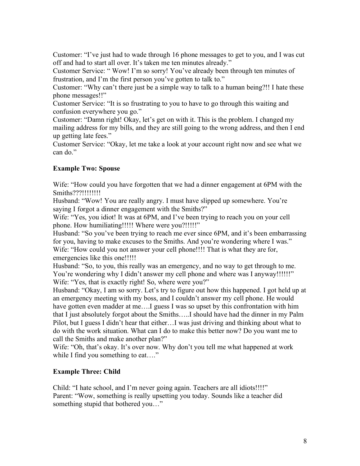Customer: "I've just had to wade through 16 phone messages to get to you, and I was cut off and had to start all over. It's taken me ten minutes already."

Customer Service: " Wow! I'm so sorry! You've already been through ten minutes of frustration, and I'm the first person you've gotten to talk to."

Customer: "Why can't there just be a simple way to talk to a human being?!! I hate these phone messages!!"

Customer Service: "It is so frustrating to you to have to go through this waiting and confusion everywhere you go."

Customer: "Damn right! Okay, let's get on with it. This is the problem. I changed my mailing address for my bills, and they are still going to the wrong address, and then I end up getting late fees."

Customer Service: "Okay, let me take a look at your account right now and see what we can do."

### **Example Two: Spouse**

Wife: "How could you have forgotten that we had a dinner engagement at 6PM with the Smiths???!!!!!!!!!

Husband: "Wow! You are really angry. I must have slipped up somewhere. You're saying I forgot a dinner engagement with the Smiths?"

Wife: "Yes, you idiot! It was at 6PM, and I've been trying to reach you on your cell phone. How humiliating!!!!! Where were you?!!!!!"

Husband: "So you've been trying to reach me ever since 6PM, and it's been embarrassing for you, having to make excuses to the Smiths. And you're wondering where I was." Wife: "How could you not answer your cell phone!!!! That is what they are for, emergencies like this one!!!!!

Husband: "So, to you, this really was an emergency, and no way to get through to me. You're wondering why I didn't answer my cell phone and where was I anyway!!!!!!" Wife: "Yes, that is exactly right! So, where were you?"

Husband: "Okay, I am so sorry. Let's try to figure out how this happened. I got held up at an emergency meeting with my boss, and I couldn't answer my cell phone. He would have gotten even madder at me.... quess I was so upset by this confrontation with him that I just absolutely forgot about the Smiths…..I should have had the dinner in my Palm Pilot, but I guess I didn't hear that either…I was just driving and thinking about what to do with the work situation. What can I do to make this better now? Do you want me to call the Smiths and make another plan?"

Wife: "Oh, that's okay. It's over now. Why don't you tell me what happened at work while I find you something to eat...."

#### **Example Three: Child**

Child: "I hate school, and I'm never going again. Teachers are all idiots!!!!" Parent: "Wow, something is really upsetting you today. Sounds like a teacher did something stupid that bothered you…"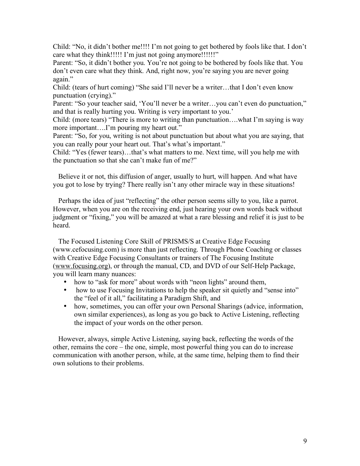Child: "No, it didn't bother me!!!! I'm not going to get bothered by fools like that. I don't care what they think!!!!! I'm just not going anymore!!!!!!!"

Parent: "So, it didn't bother you. You're not going to be bothered by fools like that. You don't even care what they think. And, right now, you're saying you are never going again."

Child: (tears of hurt coming) "She said I'll never be a writer…that I don't even know punctuation (crying)."

Parent: "So your teacher said, 'You'll never be a writer...you can't even do punctuation," and that is really hurting you. Writing is very important to you.'

Child: (more tears) "There is more to writing than punctuation….what I'm saying is way more important….I'm pouring my heart out."

Parent: "So, for you, writing is not about punctuation but about what you are saying, that you can really pour your heart out. That's what's important."

Child: "Yes (fewer tears)…that's what matters to me. Next time, will you help me with the punctuation so that she can't make fun of me?"

Believe it or not, this diffusion of anger, usually to hurt, will happen. And what have you got to lose by trying? There really isn't any other miracle way in these situations!

Perhaps the idea of just "reflecting" the other person seems silly to you, like a parrot. However, when you are on the receiving end, just hearing your own words back without judgment or "fixing," you will be amazed at what a rare blessing and relief it is just to be heard.

The Focused Listening Core Skill of PRISMS/S at Creative Edge Focusing (www.cefocusing.com) is more than just reflecting. Through Phone Coaching or classes with Creative Edge Focusing Consultants or trainers of The Focusing Institute (www.focusing.org), or through the manual, CD, and DVD of our Self-Help Package, you will learn many nuances:

- how to "ask for more" about words with "neon lights" around them,
- how to use Focusing Invitations to help the speaker sit quietly and "sense into" the "feel of it all," facilitating a Paradigm Shift, and
- how, sometimes, you can offer your own Personal Sharings (advice, information, own similar experiences), as long as you go back to Active Listening, reflecting the impact of your words on the other person.

However, always, simple Active Listening, saying back, reflecting the words of the other, remains the core – the one, simple, most powerful thing you can do to increase communication with another person, while, at the same time, helping them to find their own solutions to their problems.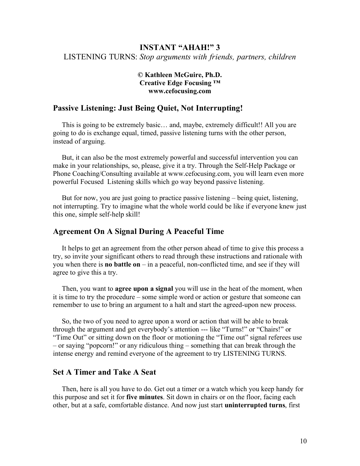# **INSTANT "AHAH!" 3** LISTENING TURNS: *Stop arguments with friends, partners, children*

#### **© Kathleen McGuire, Ph.D. Creative Edge Focusing ™ www.cefocusing.com**

# **Passive Listening: Just Being Quiet, Not Interrupting!**

This is going to be extremely basic… and, maybe, extremely difficult!! All you are going to do is exchange equal, timed, passive listening turns with the other person, instead of arguing.

But, it can also be the most extremely powerful and successful intervention you can make in your relationships, so, please, give it a try. Through the Self-Help Package or Phone Coaching/Consulting available at www.cefocusing.com, you will learn even more powerful Focused Listening skills which go way beyond passive listening.

But for now, you are just going to practice passive listening – being quiet, listening, not interrupting. Try to imagine what the whole world could be like if everyone knew just this one, simple self-help skill!

### **Agreement On A Signal During A Peaceful Time**

It helps to get an agreement from the other person ahead of time to give this process a try, so invite your significant others to read through these instructions and rationale with you when there is **no battle on** – in a peaceful, non-conflicted time, and see if they will agree to give this a try.

Then, you want to **agree upon a signal** you will use in the heat of the moment, when it is time to try the procedure – some simple word or action or gesture that someone can remember to use to bring an argument to a halt and start the agreed-upon new process.

So, the two of you need to agree upon a word or action that will be able to break through the argument and get everybody's attention --- like "Turns!" or "Chairs!" or "Time Out" or sitting down on the floor or motioning the "Time out" signal referees use – or saying "popcorn!" or any ridiculous thing – something that can break through the intense energy and remind everyone of the agreement to try LISTENING TURNS.

#### **Set A Timer and Take A Seat**

Then, here is all you have to do. Get out a timer or a watch which you keep handy for this purpose and set it for **five minutes**. Sit down in chairs or on the floor, facing each other, but at a safe, comfortable distance. And now just start **uninterrupted turns**, first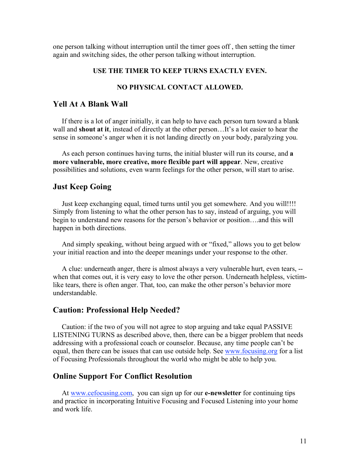one person talking without interruption until the timer goes off , then setting the timer again and switching sides, the other person talking without interruption.

#### **USE THE TIMER TO KEEP TURNS EXACTLY EVEN.**

#### **NO PHYSICAL CONTACT ALLOWED.**

### **Yell At A Blank Wall**

If there is a lot of anger initially, it can help to have each person turn toward a blank wall and **shout at it**, instead of directly at the other person…It's a lot easier to hear the sense in someone's anger when it is not landing directly on your body, paralyzing you.

As each person continues having turns, the initial bluster will run its course, and **a more vulnerable, more creative, more flexible part will appear**. New, creative possibilities and solutions, even warm feelings for the other person, will start to arise.

#### **Just Keep Going**

Just keep exchanging equal, timed turns until you get somewhere. And you will!!!! Simply from listening to what the other person has to say, instead of arguing, you will begin to understand new reasons for the person's behavior or position….and this will happen in both directions.

And simply speaking, without being argued with or "fixed," allows you to get below your initial reaction and into the deeper meanings under your response to the other.

A clue: underneath anger, there is almost always a very vulnerable hurt, even tears, - when that comes out, it is very easy to love the other person. Underneath helpless, victimlike tears, there is often anger. That, too, can make the other person's behavior more understandable.

#### **Caution: Professional Help Needed?**

Caution: if the two of you will not agree to stop arguing and take equal PASSIVE LISTENING TURNS as described above, then, there can be a bigger problem that needs addressing with a professional coach or counselor. Because, any time people can't be equal, then there can be issues that can use outside help. See www.focusing.org for a list of Focusing Professionals throughout the world who might be able to help you.

#### **Online Support For Conflict Resolution**

At www.cefocusing.com, you can sign up for our **e-newsletter** for continuing tips and practice in incorporating Intuitive Focusing and Focused Listening into your home and work life.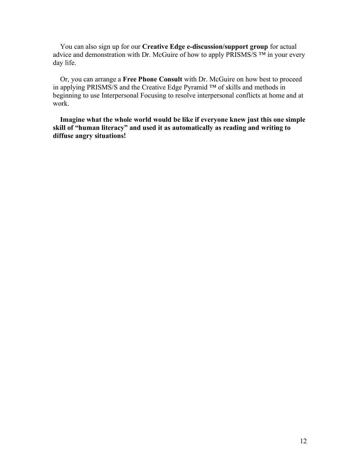You can also sign up for our **Creative Edge e-discussion/support group** for actual advice and demonstration with Dr. McGuire of how to apply PRISMS/S  $TM$  in your every day life.

Or, you can arrange a **Free Phone Consult** with Dr. McGuire on how best to proceed in applying PRISMS/S and the Creative Edge Pyramid ™ of skills and methods in beginning to use Interpersonal Focusing to resolve interpersonal conflicts at home and at work.

**Imagine what the whole world would be like if everyone knew just this one simple skill of "human literacy" and used it as automatically as reading and writing to diffuse angry situations!**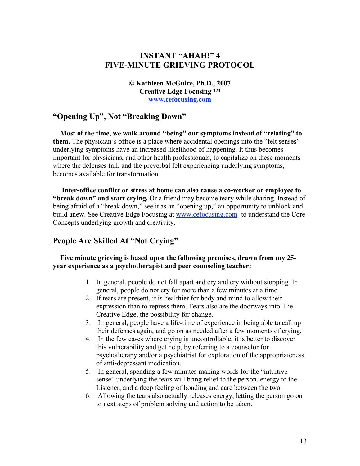# **INSTANT "AHAH!" 4 FIVE-MINUTE GRIEVING PROTOCOL**

**© Kathleen McGuire, Ph.D., 2007 Creative Edge Focusing ™ www.cefocusing.com**

### **"Opening Up", Not "Breaking Down"**

**Most of the time, we walk around "being" our symptoms instead of "relating" to them.** The physician's office is a place where accidental openings into the "felt senses" underlying symptoms have an increased likelihood of happening. It thus becomes important for physicians, and other health professionals, to capitalize on these moments where the defenses fall, and the preverbal felt experiencing underlying symptoms, becomes available for transformation.

**Inter-office conflict or stress at home can also cause a co-worker or employee to "break down" and start crying.** Or a friend may become teary while sharing. Instead of being afraid of a "break down," see it as an "opening up," an opportunity to unblock and build anew. See Creative Edge Focusing at www.cefocusing.com to understand the Core Concepts underlying growth and creativity.

### **People Are Skilled At "Not Crying"**

#### **Five minute grieving is based upon the following premises, drawn from my 25 year experience as a psychotherapist and peer counseling teacher:**

- 1. In general, people do not fall apart and cry and cry without stopping. In general, people do not cry for more than a few minutes at a time.
- 2. If tears are present, it is healthier for body and mind to allow their expression than to repress them. Tears also are the doorways into The Creative Edge, the possibility for change.
- 3. In general, people have a life-time of experience in being able to call up their defenses again, and go on as needed after a few moments of crying.
- 4. In the few cases where crying is uncontrollable, it is better to discover this vulnerability and get help, by referring to a counselor for psychotherapy and/or a psychiatrist for exploration of the appropriateness of anti-depressant medication.
- 5. In general, spending a few minutes making words for the "intuitive sense" underlying the tears will bring relief to the person, energy to the Listener, and a deep feeling of bonding and care between the two.
- 6. Allowing the tears also actually releases energy, letting the person go on to next steps of problem solving and action to be taken.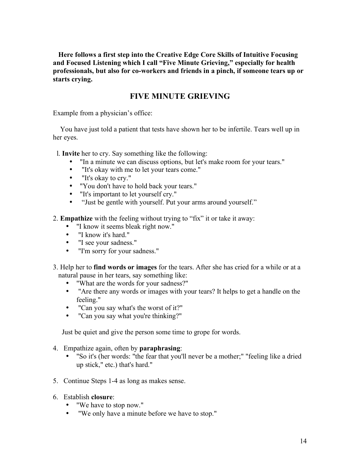**Here follows a first step into the Creative Edge Core Skills of Intuitive Focusing and Focused Listening which I call "Five Minute Grieving," especially for health professionals, but also for co-workers and friends in a pinch, if someone tears up or starts crying.**

### **FIVE MINUTE GRIEVING**

Example from a physician's office:

You have just told a patient that tests have shown her to be infertile. Tears well up in her eyes.

l. **Invite** her to cry. Say something like the following:

- "In a minute we can discuss options, but let's make room for your tears."
- "It's okay with me to let your tears come."
- "It's okay to cry."
- "You don't have to hold back your tears."
- "It's important to let yourself cry."
- "Just be gentle with yourself. Put your arms around yourself."

2. **Empathize** with the feeling without trying to "fix" it or take it away:

- "I know it seems bleak right now."
- "I know it's hard."
- "I see your sadness."
- "I'm sorry for your sadness."
- 3. Help her to **find words or images** for the tears. After she has cried for a while or at a natural pause in her tears, say something like:
	- "What are the words for your sadness?"
	- "Are there any words or images with your tears? It helps to get a handle on the feeling."
	- "Can you say what's the worst of it?"
	- "Can you say what you're thinking?"

Just be quiet and give the person some time to grope for words.

- 4. Empathize again, often by **paraphrasing**:
	- "So it's (her words: "the fear that you'll never be a mother;" "feeling like a dried up stick," etc.) that's hard."
- 5. Continue Steps 1-4 as long as makes sense.
- 6. Establish **closure**:
	- "We have to stop now."
	- "We only have a minute before we have to stop."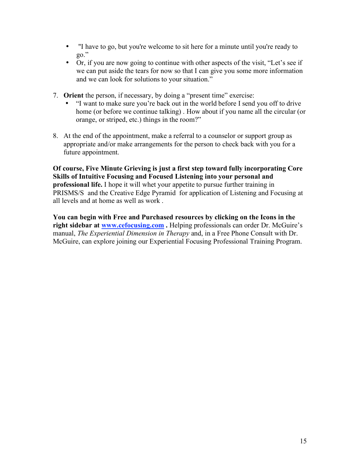- If have to go, but you're welcome to sit here for a minute until you're ready to go."
- Or, if you are now going to continue with other aspects of the visit, "Let's see if we can put aside the tears for now so that I can give you some more information and we can look for solutions to your situation."
- 7. **Orient** the person, if necessary, by doing a "present time" exercise:
	- "I want to make sure you're back out in the world before I send you off to drive home (or before we continue talking) . How about if you name all the circular (or orange, or striped, etc.) things in the room?"
- 8. At the end of the appointment, make a referral to a counselor or support group as appropriate and/or make arrangements for the person to check back with you for a future appointment.

**Of course, Five Minute Grieving is just a first step toward fully incorporating Core Skills of Intuitive Focusing and Focused Listening into your personal and professional life.** I hope it will whet your appetite to pursue further training in PRISMS/S and the Creative Edge Pyramid for application of Listening and Focusing at all levels and at home as well as work .

**You can begin with Free and Purchased resources by clicking on the Icons in the right sidebar at www.cefocusing.com .** Helping professionals can order Dr. McGuire's manual, *The Experiential Dimension in Therapy* and, in a Free Phone Consult with Dr. McGuire, can explore joining our Experiential Focusing Professional Training Program.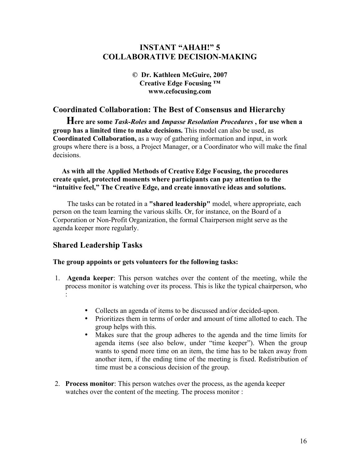## **INSTANT "AHAH!" 5 COLLABORATIVE DECISION-MAKING**

#### **© Dr. Kathleen McGuire, 2007 Creative Edge Focusing ™ www.cefocusing.com**

### **Coordinated Collaboration: The Best of Consensus and Hierarchy**

**Here are some** *Task-Roles* **and** *Impasse Resolution Procedures* **, for use when <sup>a</sup> group has a limited time to make decisions.** This model can also be used, as **Coordinated Collaboration,** as a way of gathering information and input, in work groups where there is a boss, a Project Manager, or a Coordinator who will make the final decisions.

#### **As with all the Applied Methods of Creative Edge Focusing, the procedures create quiet, protected moments where participants can pay attention to the "intuitive feel," The Creative Edge, and create innovative ideas and solutions.**

The tasks can be rotated in a **"shared leadership"** model, where appropriate, each person on the team learning the various skills. Or, for instance, on the Board of a Corporation or Non-Profit Organization, the formal Chairperson might serve as the agenda keeper more regularly.

### **Shared Leadership Tasks**

#### **The group appoints or gets volunteers for the following tasks:**

- 1. **Agenda keeper**: This person watches over the content of the meeting, while the process monitor is watching over its process. This is like the typical chairperson, who :
	- Collects an agenda of items to be discussed and/or decided-upon.
	- Prioritizes them in terms of order and amount of time allotted to each. The group helps with this.
	- Makes sure that the group adheres to the agenda and the time limits for agenda items (see also below, under "time keeper"). When the group wants to spend more time on an item, the time has to be taken away from another item, if the ending time of the meeting is fixed. Redistribution of time must be a conscious decision of the group.
- 2. **Process monitor**: This person watches over the process, as the agenda keeper watches over the content of the meeting. The process monitor :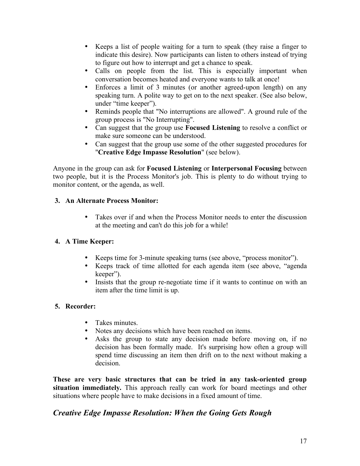- Keeps a list of people waiting for a turn to speak (they raise a finger to indicate this desire). Now participants can listen to others instead of trying to figure out how to interrupt and get a chance to speak.
- Calls on people from the list. This is especially important when conversation becomes heated and everyone wants to talk at once!
- Enforces a limit of 3 minutes (or another agreed-upon length) on any speaking turn. A polite way to get on to the next speaker. (See also below, under "time keeper").
- Reminds people that "No interruptions are allowed". A ground rule of the group process is "No Interrupting".
- Can suggest that the group use **Focused Listening** to resolve a conflict or make sure someone can be understood.
- Can suggest that the group use some of the other suggested procedures for "**Creative Edge Impasse Resolution**" (see below).

Anyone in the group can ask for **Focused Listening** or **Interpersonal Focusing** between two people, but it is the Process Monitor's job. This is plenty to do without trying to monitor content, or the agenda, as well.

### **3. An Alternate Process Monitor:**

• Takes over if and when the Process Monitor needs to enter the discussion at the meeting and can't do this job for a while!

### **4. A Time Keeper:**

- Keeps time for 3-minute speaking turns (see above, "process monitor").
- Keeps track of time allotted for each agenda item (see above, "agenda keeper").
- Insists that the group re-negotiate time if it wants to continue on with an item after the time limit is up.

### **5. Recorder:**

- Takes minutes.
- Notes any decisions which have been reached on items.
- Asks the group to state any decision made before moving on, if no decision has been formally made. It's surprising how often a group will spend time discussing an item then drift on to the next without making a decision.

**These are very basic structures that can be tried in any task-oriented group situation immediately.** This approach really can work for board meetings and other situations where people have to make decisions in a fixed amount of time.

# *Creative Edge Impasse Resolution: When the Going Gets Rough*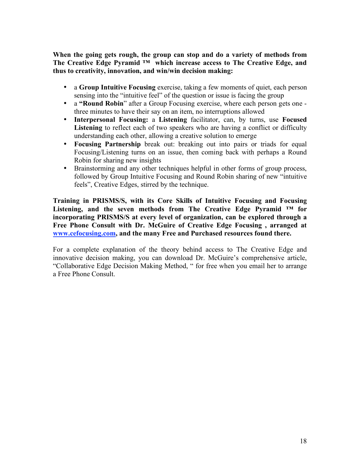**When the going gets rough, the group can stop and do a variety of methods from The Creative Edge Pyramid ™ which increase access to The Creative Edge, and thus to creativity, innovation, and win/win decision making:**

- a **Group Intuitive Focusing** exercise, taking a few moments of quiet, each person sensing into the "intuitive feel" of the question or issue is facing the group
- a **"Round Robin**" after a Group Focusing exercise, where each person gets one three minutes to have their say on an item, no interruptions allowed
- **Interpersonal Focusing:** a **Listening** facilitator, can, by turns, use **Focused** Listening to reflect each of two speakers who are having a conflict or difficulty understanding each other, allowing a creative solution to emerge
- **Focusing Partnership** break out: breaking out into pairs or triads for equal Focusing/Listening turns on an issue, then coming back with perhaps a Round Robin for sharing new insights
- Brainstorming and any other techniques helpful in other forms of group process, followed by Group Intuitive Focusing and Round Robin sharing of new "intuitive feels", Creative Edges, stirred by the technique.

**Training in PRISMS/S, with its Core Skills of Intuitive Focusing and Focusing Listening, and the seven methods from The Creative Edge Pyramid ™ for incorporating PRISMS/S at every level of organization, can be explored through a Free Phone Consult with Dr. McGuire of Creative Edge Focusing , arranged at www.cefocusing.com, and the many Free and Purchased resources found there.**

For a complete explanation of the theory behind access to The Creative Edge and innovative decision making, you can download Dr. McGuire's comprehensive article, "Collaborative Edge Decision Making Method, " for free when you email her to arrange a Free Phone Consult.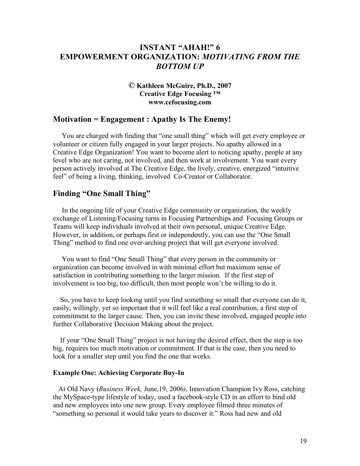### **INSTANT "AHAH!" 6 EMPOWERMENT ORGANIZATION:** *MOTIVATING FROM THE BOTTOM UP*

#### *©* **Kathleen McGuire, Ph.D., 2007 Creative Edge Focusing ™ www.cefocusing.com**

#### **Motivation = Engagement : Apathy Is The Enemy!**

You are charged with finding that "one small thing" which will get every employee or volunteer or citizen fully engaged in your larger projects. No apathy allowed in a Creative Edge Organization! You want to become alert to noticing apathy, people at any level who are not caring, not involved, and then work at involvement. You want every person actively involved at The Creative Edge, the lively, creative, energized "intuitive feel" of being a living, thinking, involved Co-Creator or Collaborator.

#### **Finding "One Small Thing"**

In the ongoing life of your Creative Edge community or organization, the weekly exchange of Listening/Focusing turns in Focusing Partnerships and Focusing Groups or Teams will keep individuals involved at their own personal, unique Creative Edge. However, in addition, or perhaps first or independently, you can use the "One Small Thing" method to find one over-arching project that will get everyone involved.

You want to find "One Small Thing" that every person in the community or organization can become involved in with minimal effort but maximum sense of satisfaction in contributing something to the larger mission. If the first step of involvement is too big, too difficult, then most people won't be willing to do it.

So, you have to keep looking until you find something so small that everyone can do it, easily, willingly, yet so important that it will feel like a real contribution, a first step of commitment to the larger cause. Then, you can invite these involved, engaged people into further Collaborative Decision Making about the project.

If your "One Small Thing" project is not having the desired effect, then the step is too big, requires too much motivation or commitment. If that is the case, then you need to look for a smaller step until you find the one that works.

#### **Example One: Achieving Corporate Buy-In**

At Old Navy (*Business Week,* June,19, 2006*)*, Innovation Champion Ivy Ross, catching the MySpace-type lifestyle of today, used a facebook-style CD in an effort to bind old and new employees into one new group. Every employee filmed three minutes of "something so personal it would take years to discover it." Ross had new and old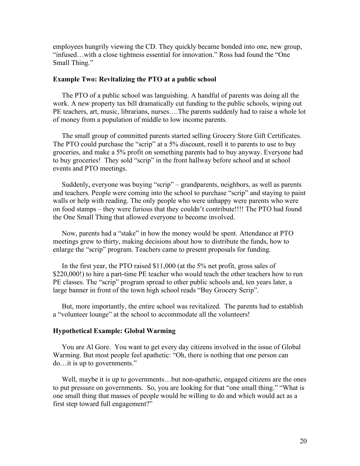employees hungrily viewing the CD. They quickly became bonded into one, new group, "infused…with a close tightness essential for innovation." Ross had found the "One Small Thing."

#### **Example Two: Revitalizing the PTO at a public school**

The PTO of a public school was languishing. A handful of parents was doing all the work. A new property tax bill dramatically cut funding to the public schools, wiping out PE teachers, art, music, librarians, nurses….The parents suddenly had to raise a whole lot of money from a population of middle to low income parents.

The small group of committed parents started selling Grocery Store Gift Certificates. The PTO could purchase the "scrip" at a 5% discount, resell it to parents to use to buy groceries, and make a 5% profit on something parents had to buy anyway. Everyone had to buy groceries! They sold "scrip" in the front hallway before school and at school events and PTO meetings.

Suddenly, everyone was buying "scrip" – grandparents, neighbors, as well as parents and teachers. People were coming into the school to purchase "scrip" and staying to paint walls or help with reading. The only people who were unhappy were parents who were on food stamps – they were furious that they couldn't contribute!!!! The PTO had found the One Small Thing that allowed everyone to become involved.

Now, parents had a "stake" in how the money would be spent. Attendance at PTO meetings grew to thirty, making decisions about how to distribute the funds, how to enlarge the "scrip" program. Teachers came to present proposals for funding.

In the first year, the PTO raised \$11,000 (at the 5% net profit, gross sales of \$220,000!) to hire a part-time PE teacher who would teach the other teachers how to run PE classes. The "scrip" program spread to other public schools and, ten years later, a large banner in front of the town high school reads "Buy Grocery Scrip".

But, more importantly, the entire school was revitalized. The parents had to establish a "volunteer lounge" at the school to accommodate all the volunteers!

#### **Hypothetical Example: Global Warming**

You are Al Gore. You want to get every day citizens involved in the issue of Global Warming. But most people feel apathetic: "Oh, there is nothing that one person can do…it is up to governments."

Well, maybe it is up to governments…but non-apathetic, engaged citizens are the ones to put pressure on governments. So, you are looking for that "one small thing." "What is one small thing that masses of people would be willing to do and which would act as a first step toward full engagement?"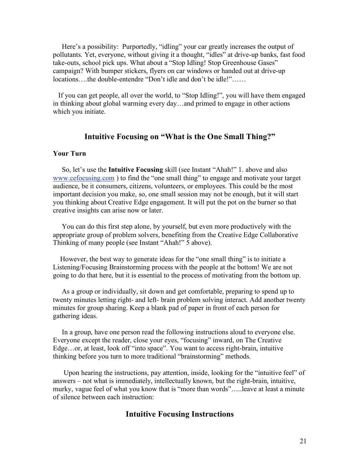Here's a possibility: Purportedly, "idling" your car greatly increases the output of pollutants. Yet, everyone, without giving it a thought, "idles" at drive-up banks, fast food take-outs, school pick ups. What about a "Stop Idling! Stop Greenhouse Gases" campaign? With bumper stickers, flyers on car windows or handed out at drive-up locations….the double-entendre "Don't idle and don't be idle!"……

If you can get people, all over the world, to "Stop Idling!", you will have them engaged in thinking about global warming every day…and primed to engage in other actions which you initiate.

### **Intuitive Focusing on "What is the One Small Thing?"**

#### **Your Turn**

So, let's use the **Intuitive Focusing** skill (see Instant "Ahah!" 1. above and also www.cefocusing.com) to find the "one small thing" to engage and motivate your target audience, be it consumers, citizens, volunteers, or employees. This could be the most important decision you make, so, one small session may not be enough, but it will start you thinking about Creative Edge engagement. It will put the pot on the burner so that creative insights can arise now or later.

You can do this first step alone, by yourself, but even more productively with the appropriate group of problem solvers, benefiting from the Creative Edge Collaborative Thinking of many people (see Instant "Ahah!" 5 above).

However, the best way to generate ideas for the "one small thing" is to initiate a Listening/Focusing Brainstorming process with the people at the bottom! We are not going to do that here, but it is essential to the process of motivating from the bottom up.

As a group or individually, sit down and get comfortable, preparing to spend up to twenty minutes letting right- and left- brain problem solving interact. Add another twenty minutes for group sharing. Keep a blank pad of paper in front of each person for gathering ideas.

In a group, have one person read the following instructions aloud to everyone else. Everyone except the reader, close your eyes, "focusing" inward, on The Creative Edge…or, at least, look off "into space". You want to access right-brain, intuitive thinking before you turn to more traditional "brainstorming" methods.

Upon hearing the instructions, pay attention, inside, looking for the "intuitive feel" of answers – not what is immediately, intellectually known, but the right-brain, intuitive, murky, vague feel of what you know that is "more than words"…..leave at least a minute of silence between each instruction:

#### **Intuitive Focusing Instructions**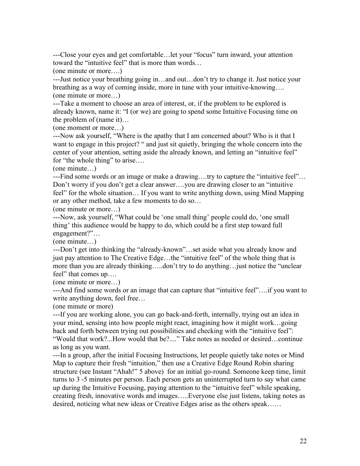---Close your eyes and get comfortable…let your "focus" turn inward, your attention toward the "intuitive feel" that is more than words…

(one minute or more….)

---Just notice your breathing going in…and out…don't try to change it. Just notice your breathing as a way of coming inside, more in tune with your intuitive-knowing…. (one minute or more…)

---Take a moment to choose an area of interest, or, if the problem to be explored is already known, name it: "I (or we) are going to spend some Intuitive Focusing time on the problem of (name it)…

(one moment or more…)

---Now ask yourself, "Where is the apathy that I am concerned about? Who is it that I want to engage in this project? " and just sit quietly, bringing the whole concern into the center of your attention, setting aside the already known, and letting an "intuitive feel" for "the whole thing" to arise….

(one minute…)

---Find some words or an image or make a drawing….try to capture the "intuitive feel"… Don't worry if you don't get a clear answer….you are drawing closer to an "intuitive feel" for the whole situation… If you want to write anything down, using Mind Mapping or any other method, take a few moments to do so…

(one minute or more…)

---Now, ask yourself, "What could be 'one small thing' people could do, 'one small thing' this audience would be happy to do, which could be a first step toward full engagement?"…

(one minute…)

---Don't get into thinking the "already-known"…set aside what you already know and just pay attention to The Creative Edge…the "intuitive feel" of the whole thing that is more than you are already thinking…..don't try to do anything…just notice the "unclear feel" that comes up….

(one minute or more…)

---And find some words or an image that can capture that "intuitive feel"….if you want to write anything down, feel free…

(one minute or more)

---If you are working alone, you can go back-and-forth, internally, trying out an idea in your mind, sensing into how people might react, imagining how it might work…going back and forth between trying out possibilities and checking with the "intuitive feel": "Would that work?...How would that be?...." Take notes as needed or desired…continue as long as you want.

---In a group, after the initial Focusing Instructions, let people quietly take notes or Mind Map to capture their fresh "intuition," then use a Creative Edge Round Robin sharing structure (see Instant "Ahah!" 5 above) for an initial go-round. Someone keep time, limit turns to 3 -5 minutes per person. Each person gets an uninterrupted turn to say what came up during the Intuitive Focusing, paying attention to the "intuitive feel" while speaking, creating fresh, innovative words and images…..Everyone else just listens, taking notes as desired, noticing what new ideas or Creative Edges arise as the others speak……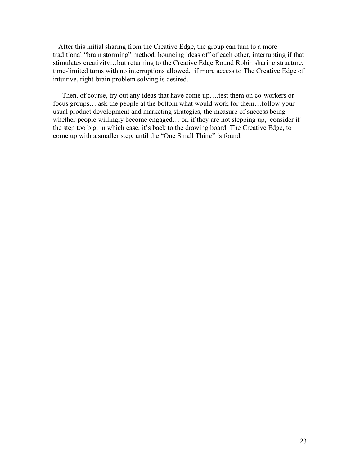After this initial sharing from the Creative Edge, the group can turn to a more traditional "brain storming" method, bouncing ideas off of each other, interrupting if that stimulates creativity…but returning to the Creative Edge Round Robin sharing structure, time-limited turns with no interruptions allowed, if more access to The Creative Edge of intuitive, right-brain problem solving is desired.

Then, of course, try out any ideas that have come up….test them on co-workers or focus groups… ask the people at the bottom what would work for them…follow your usual product development and marketing strategies, the measure of success being whether people willingly become engaged... or, if they are not stepping up, consider if the step too big, in which case, it's back to the drawing board, The Creative Edge, to come up with a smaller step, until the "One Small Thing" is found.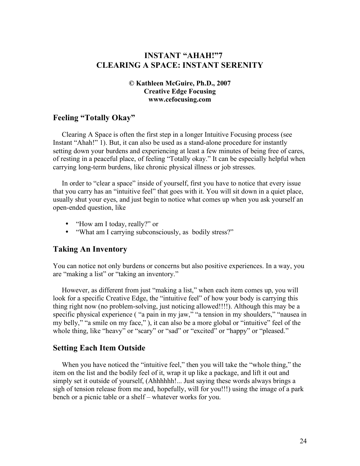# **INSTANT "AHAH!"7 CLEARING A SPACE: INSTANT SERENITY**

#### **© Kathleen McGuire, Ph.D., 2007 Creative Edge Focusing www.cefocusing.com**

### **Feeling "Totally Okay"**

Clearing A Space is often the first step in a longer Intuitive Focusing process (see Instant "Ahah!" 1). But, it can also be used as a stand-alone procedure for instantly setting down your burdens and experiencing at least a few minutes of being free of cares, of resting in a peaceful place, of feeling "Totally okay." It can be especially helpful when carrying long-term burdens, like chronic physical illness or job stresses.

In order to "clear a space" inside of yourself, first you have to notice that every issue that you carry has an "intuitive feel" that goes with it. You will sit down in a quiet place, usually shut your eyes, and just begin to notice what comes up when you ask yourself an open-ended question, like

- "How am I today, really?" or
- "What am I carrying subconsciously, as bodily stress?"

### **Taking An Inventory**

You can notice not only burdens or concerns but also positive experiences. In a way, you are "making a list" or "taking an inventory."

However, as different from just "making a list," when each item comes up, you will look for a specific Creative Edge, the "intuitive feel" of how your body is carrying this thing right now (no problem-solving, just noticing allowed!!!!). Although this may be a specific physical experience ( "a pain in my jaw," "a tension in my shoulders," "nausea in my belly," "a smile on my face," ), it can also be a more global or "intuitive" feel of the whole thing, like "heavy" or "scary" or "sad" or "excited" or "happy" or "pleased."

#### **Setting Each Item Outside**

When you have noticed the "intuitive feel," then you will take the "whole thing," the item on the list and the bodily feel of it, wrap it up like a package, and lift it out and simply set it outside of yourself, (Ahhhhhh!... Just saying these words always brings a sigh of tension release from me and, hopefully, will for you!!!) using the image of a park bench or a picnic table or a shelf – whatever works for you.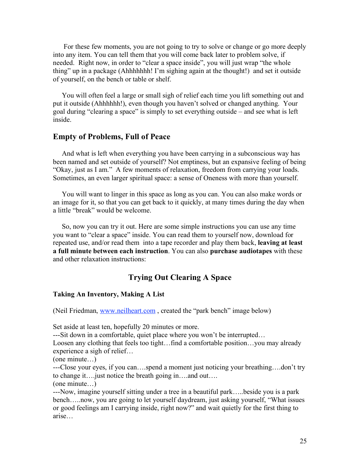For these few moments, you are not going to try to solve or change or go more deeply into any item. You can tell them that you will come back later to problem solve, if needed. Right now, in order to "clear a space inside", you will just wrap "the whole thing" up in a package (Ahhhhhhh! I'm sighing again at the thought!) and set it outside of yourself, on the bench or table or shelf.

You will often feel a large or small sigh of relief each time you lift something out and put it outside (Ahhhhhh!), even though you haven't solved or changed anything. Your goal during "clearing a space" is simply to set everything outside – and see what is left inside.

#### **Empty of Problems, Full of Peace**

And what is left when everything you have been carrying in a subconscious way has been named and set outside of yourself? Not emptiness, but an expansive feeling of being "Okay, just as I am." A few moments of relaxation, freedom from carrying your loads. Sometimes, an even larger spiritual space: a sense of Oneness with more than yourself.

You will want to linger in this space as long as you can. You can also make words or an image for it, so that you can get back to it quickly, at many times during the day when a little "break" would be welcome.

So, now you can try it out. Here are some simple instructions you can use any time you want to "clear a space" inside. You can read them to yourself now, download for repeated use, and/or read them into a tape recorder and play them back, **leaving at least a full minute between each instruction**. You can also **purchase audiotapes** with these and other relaxation instructions:

# **Trying Out Clearing A Space**

#### **Taking An Inventory, Making A List**

(Neil Friedman, www.neilheart.com, created the "park bench" image below)

Set aside at least ten, hopefully 20 minutes or more.

---Sit down in a comfortable, quiet place where you won't be interrupted…

Loosen any clothing that feels too tight…find a comfortable position…you may already experience a sigh of relief…

(one minute…)

---Close your eyes, if you can….spend a moment just noticing your breathing….don't try to change it….just notice the breath going in….and out….

(one minute…)

---Now, imagine yourself sitting under a tree in a beautiful park…..beside you is a park bench…..now, you are going to let yourself daydream, just asking yourself, "What issues or good feelings am I carrying inside, right now?" and wait quietly for the first thing to arise…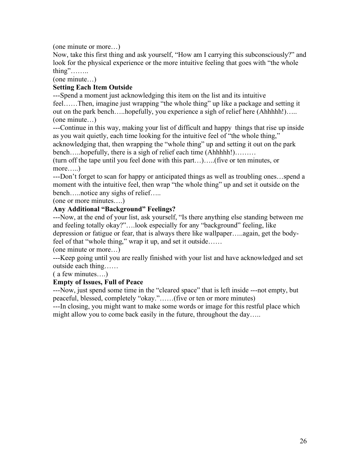(one minute or more…)

Now, take this first thing and ask yourself, "How am I carrying this subconsciously?" and look for the physical experience or the more intuitive feeling that goes with "the whole thing"……..

(one minute…)

### **Setting Each Item Outside**

---Spend a moment just acknowledging this item on the list and its intuitive feel……Then, imagine just wrapping "the whole thing" up like a package and setting it out on the park bench…..hopefully, you experience a sigh of relief here (Ahhhhh!)….. (one minute…)

---Continue in this way, making your list of difficult and happy things that rise up inside as you wait quietly, each time looking for the intuitive feel of "the whole thing," acknowledging that, then wrapping the "whole thing" up and setting it out on the park bench…..hopefully, there is a sigh of relief each time (Ahhhhh!)………

(turn off the tape until you feel done with this part…)…..(five or ten minutes, or more…..)

---Don't forget to scan for happy or anticipated things as well as troubling ones…spend a moment with the intuitive feel, then wrap "the whole thing" up and set it outside on the bench…..notice any sighs of relief…..

(one or more minutes….)

### **Any Additional "Background" Feelings?**

---Now, at the end of your list, ask yourself, "Is there anything else standing between me and feeling totally okay?"….look especially for any "background" feeling, like depression or fatigue or fear, that is always there like wallpaper…..again, get the bodyfeel of that "whole thing," wrap it up, and set it outside……

(one minute or more…)

---Keep going until you are really finished with your list and have acknowledged and set outside each thing……

( a few minutes….)

#### **Empty of Issues, Full of Peace**

---Now, just spend some time in the "cleared space" that is left inside ---not empty, but peaceful, blessed, completely "okay."……(five or ten or more minutes)

---In closing, you might want to make some words or image for this restful place which might allow you to come back easily in the future, throughout the day.....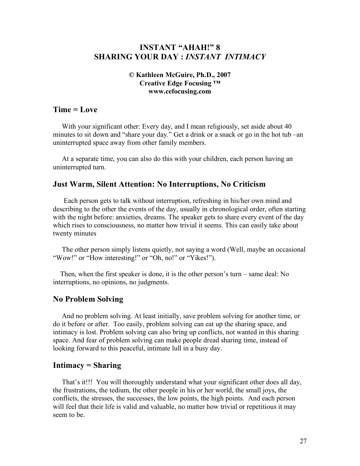### **INSTANT "AHAH!" 8 SHARING YOUR DAY :** *INSTANT INTIMACY*

#### **© Kathleen McGuire, Ph.D., 2007 Creative Edge Focusing ™ www.cefocusing.com**

#### **Time = Love**

With your significant other: Every day, and I mean religiously, set aside about 40 minutes to sit down and "share your day." Get a drink or a snack or go in the hot tub –an uninterrupted space away from other family members.

At a separate time, you can also do this with your children, each person having an uninterrupted turn.

#### **Just Warm, Silent Attention: No Interruptions, No Criticism**

Each person gets to talk without interruption, refreshing in his/her own mind and describing to the other the events of the day, usually in chronological order, often starting with the night before: anxieties, dreams. The speaker gets to share every event of the day which rises to consciousness, no matter how trivial it seems. This can easily take about twenty minutes

The other person simply listens quietly, not saying a word (Well, maybe an occasional "Wow!" or "How interesting!" or "Oh, no!" or "Yikes!").

Then, when the first speaker is done, it is the other person's turn – same deal: No interruptions, no opinions, no judgments.

#### **No Problem Solving**

And no problem solving. At least initially, save problem solving for another time, or do it before or after. Too easily, problem solving can eat up the sharing space, and intimacy is lost. Problem solving can also bring up conflicts, not wanted in this sharing space. And fear of problem solving can make people dread sharing time, instead of looking forward to this peaceful, intimate lull in a busy day.

#### **Intimacy = Sharing**

That's it!!! You will thoroughly understand what your significant other does all day, the frustrations, the tedium, the other people in his or her world, the small joys, the conflicts, the stresses, the successes, the low points, the high points. And each person will feel that their life is valid and valuable, no matter how trivial or repetitious it may seem to be.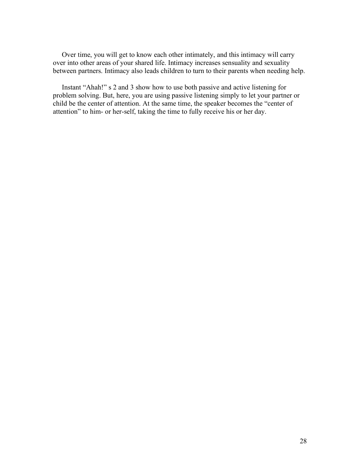Over time, you will get to know each other intimately, and this intimacy will carry over into other areas of your shared life. Intimacy increases sensuality and sexuality between partners. Intimacy also leads children to turn to their parents when needing help.

Instant "Ahah!" s 2 and 3 show how to use both passive and active listening for problem solving. But, here, you are using passive listening simply to let your partner or child be the center of attention. At the same time, the speaker becomes the "center of attention" to him- or her-self, taking the time to fully receive his or her day.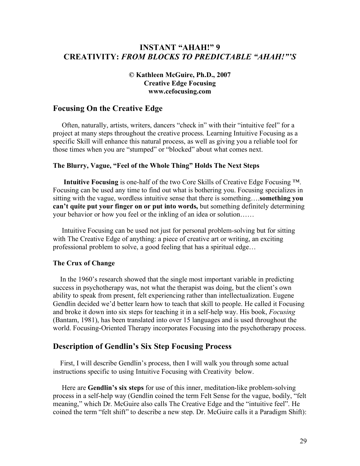### **INSTANT "AHAH!" 9 CREATIVITY:** *FROM BLOCKS TO PREDICTABLE "AHAH!"'S*

#### **© Kathleen McGuire, Ph.D., 2007 Creative Edge Focusing www.cefocusing.com**

#### **Focusing On the Creative Edge**

Often, naturally, artists, writers, dancers "check in" with their "intuitive feel" for a project at many steps throughout the creative process. Learning Intuitive Focusing as a specific Skill will enhance this natural process, as well as giving you a reliable tool for those times when you are "stumped" or "blocked" about what comes next.

#### **The Blurry, Vague, "Feel of the Whole Thing" Holds The Next Steps**

**Intuitive Focusing** is one-half of the two Core Skills of Creative Edge Focusing ™. Focusing can be used any time to find out what is bothering you. Focusing specializes in sitting with the vague, wordless intuitive sense that there is something….**something you can't quite put your finger on or put into words,** but something definitely determining your behavior or how you feel or the inkling of an idea or solution……

Intuitive Focusing can be used not just for personal problem-solving but for sitting with The Creative Edge of anything: a piece of creative art or writing, an exciting professional problem to solve, a good feeling that has a spiritual edge…

#### **The Crux of Change**

In the 1960's research showed that the single most important variable in predicting success in psychotherapy was, not what the therapist was doing, but the client's own ability to speak from present, felt experiencing rather than intellectualization. Eugene Gendlin decided we'd better learn how to teach that skill to people. He called it Focusing and broke it down into six steps for teaching it in a self-help way. His book, *Focusing* (Bantam, 1981), has been translated into over 15 languages and is used throughout the world. Focusing-Oriented Therapy incorporates Focusing into the psychotherapy process.

#### **Description of Gendlin's Six Step Focusing Process**

First, I will describe Gendlin's process, then I will walk you through some actual instructions specific to using Intuitive Focusing with Creativity below.

Here are **Gendlin's six steps** for use of this inner, meditation-like problem-solving process in a self-help way (Gendlin coined the term Felt Sense for the vague, bodily, "felt meaning," which Dr. McGuire also calls The Creative Edge and the "intuitive feel". He coined the term "felt shift" to describe a new step. Dr. McGuire calls it a Paradigm Shift):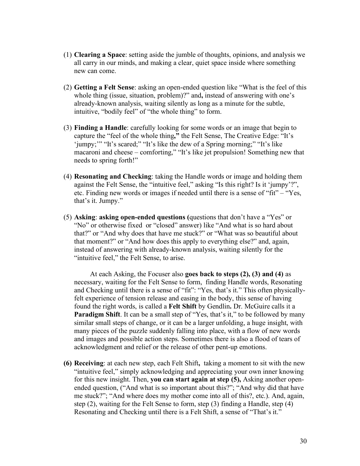- (1) **Clearing a Space**: setting aside the jumble of thoughts, opinions, and analysis we all carry in our minds, and making a clear, quiet space inside where something new can come.
- (2) **Getting a Felt Sense**: asking an open-ended question like "What is the feel of this whole thing (issue, situation, problem)?" and**,** instead of answering with one's already-known analysis, waiting silently as long as a minute for the subtle, intuitive, "bodily feel" of "the whole thing" to form.
- (3) **Finding a Handle**: carefully looking for some words or an image that begin to capture the "feel of the whole thing**,"** the Felt Sense, The Creative Edge: "It's 'jumpy;'" "It's scared;" "It's like the dew of a Spring morning;" "It's like macaroni and cheese – comforting," "It's like jet propulsion! Something new that needs to spring forth!"
- (4) **Resonating and Checking**: taking the Handle words or image and holding them against the Felt Sense, the "intuitive feel," asking "Is this right? Is it 'jumpy'?", etc. Finding new words or images if needed until there is a sense of "fit" – "Yes, that's it. Jumpy."
- (5) **Asking**: **asking open-ended questions (**questions that don't have a "Yes" or "No" or otherwise fixed or "closed" answer) like "And what is so hard about that?" or "And why does that have me stuck?" or "What was so beautiful about that moment?" or "And how does this apply to everything else?" and, again, instead of answering with already-known analysis, waiting silently for the "intuitive feel," the Felt Sense, to arise.

At each Asking, the Focuser also **goes back to steps (2), (3) and (4)** as necessary, waiting for the Felt Sense to form, finding Handle words, Resonating and Checking until there is a sense of "fit": "Yes, that's it." This often physicallyfelt experience of tension release and easing in the body, this sense of having found the right words, is called a **Felt Shift** by Gendlin**.** Dr. McGuire calls it a **Paradigm Shift**. It can be a small step of "Yes, that's it," to be followed by many similar small steps of change, or it can be a larger unfolding, a huge insight, with many pieces of the puzzle suddenly falling into place, with a flow of new words and images and possible action steps. Sometimes there is also a flood of tears of acknowledgment and relief or the release of other pent-up emotions.

**(6) Receiving**: at each new step, each Felt Shift**,** taking a moment to sit with the new "intuitive feel," simply acknowledging and appreciating your own inner knowing for this new insight. Then, **you can start again at step (5),** Asking another openended question, ("And what is so important about this?"; "And why did that have me stuck?"; "And where does my mother come into all of this?, etc.). And, again, step (2), waiting for the Felt Sense to form, step (3) finding a Handle, step (4) Resonating and Checking until there is a Felt Shift, a sense of "That's it."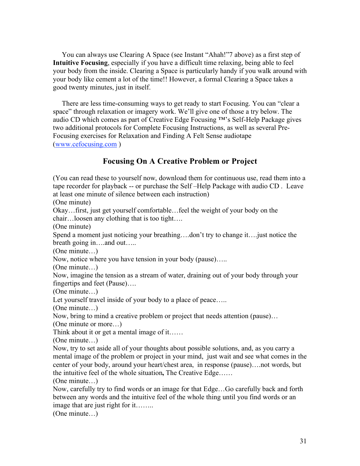You can always use Clearing A Space (see Instant "Ahah!"7 above) as a first step of **Intuitive Focusing**, especially if you have a difficult time relaxing, being able to feel your body from the inside. Clearing a Space is particularly handy if you walk around with your body like cement a lot of the time!! However, a formal Clearing a Space takes a good twenty minutes, just in itself.

There are less time-consuming ways to get ready to start Focusing. You can "clear a space" through relaxation or imagery work. We'll give one of those a try below. The audio CD which comes as part of Creative Edge Focusing ™'s Self-Help Package gives two additional protocols for Complete Focusing Instructions, as well as several Pre-Focusing exercises for Relaxation and Finding A Felt Sense audiotape (www.cefocusing.com )

### **Focusing On A Creative Problem or Project**

(You can read these to yourself now, download them for continuous use, read them into a tape recorder for playback -- or purchase the Self –Help Package with audio CD . Leave at least one minute of silence between each instruction)

(One minute)

Okay…first, just get yourself comfortable…feel the weight of your body on the chair…loosen any clothing that is too tight….

(One minute)

Spend a moment just noticing your breathing….don't try to change it….just notice the breath going in….and out…..

(One minute…)

Now, notice where you have tension in your body (pause)…..

(One minute…)

Now, imagine the tension as a stream of water, draining out of your body through your fingertips and feet (Pause)….

(One minute…)

Let yourself travel inside of your body to a place of peace.....

(One minute…)

Now, bring to mind a creative problem or project that needs attention (pause)…

(One minute or more…)

Think about it or get a mental image of it……

(One minute…)

Now, try to set aside all of your thoughts about possible solutions, and, as you carry a mental image of the problem or project in your mind, just wait and see what comes in the center of your body, around your heart/chest area, in response (pause)….not words, but the intuitive feel of the whole situation**,** The Creative Edge……

(One minute…)

Now, carefully try to find words or an image for that Edge…Go carefully back and forth between any words and the intuitive feel of the whole thing until you find words or an image that are just right for it….....

(One minute…)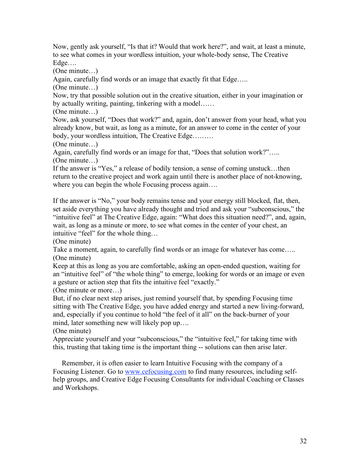Now, gently ask yourself, "Is that it? Would that work here?", and wait, at least a minute, to see what comes in your wordless intuition, your whole-body sense, The Creative Edge….

(One minute…)

Again, carefully find words or an image that exactly fit that Edge…..

(One minute…)

Now, try that possible solution out in the creative situation, either in your imagination or by actually writing, painting, tinkering with a model……

(One minute…)

Now, ask yourself, "Does that work?" and, again, don't answer from your head, what you already know, but wait, as long as a minute, for an answer to come in the center of your body, your wordless intuition, The Creative Edge………

(One minute…)

Again, carefully find words or an image for that, "Does that solution work?"….. (One minute…)

If the answer is "Yes," a release of bodily tension, a sense of coming unstuck…then return to the creative project and work again until there is another place of not-knowing, where you can begin the whole Focusing process again....

If the answer is "No," your body remains tense and your energy still blocked, flat, then, set aside everything you have already thought and tried and ask your "subconscious," the "intuitive feel" at The Creative Edge, again: "What does this situation need?", and, again, wait, as long as a minute or more, to see what comes in the center of your chest, an intuitive "feel" for the whole thing…

(One minute)

Take a moment, again, to carefully find words or an image for whatever has come..... (One minute)

Keep at this as long as you are comfortable, asking an open-ended question, waiting for an "intuitive feel" of "the whole thing" to emerge, looking for words or an image or even a gesture or action step that fits the intuitive feel "exactly."

(One minute or more…)

But, if no clear next step arises, just remind yourself that, by spending Focusing time sitting with The Creative Edge, you have added energy and started a new living-forward, and, especially if you continue to hold "the feel of it all" on the back-burner of your mind, later something new will likely pop up….

(One minute)

Appreciate yourself and your "subconscious," the "intuitive feel," for taking time with this, trusting that taking time is the important thing -- solutions can then arise later.

Remember, it is often easier to learn Intuitive Focusing with the company of a Focusing Listener. Go to www.cefocusing.com to find many resources, including selfhelp groups, and Creative Edge Focusing Consultants for individual Coaching or Classes and Workshops.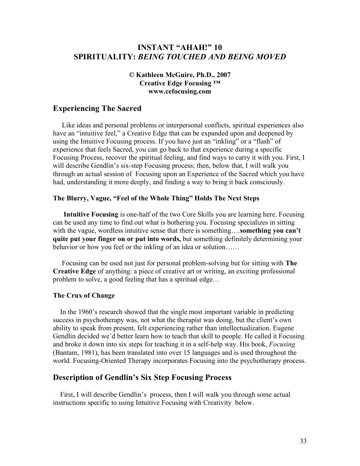### **INSTANT "AHAH!" 10 SPIRITUALITY:** *BEING TOUCHED AND BEING MOVED*

#### **© Kathleen McGuire, Ph.D., 2007 Creative Edge Focusing ™ www.cefocusing.com**

# **Experiencing The Sacred**

Like ideas and personal problems or interpersonal conflicts, spiritual experiences also have an "intuitive feel," a Creative Edge that can be expanded upon and deepened by using the Intuitive Focusing process. If you have just an "inkling" or a "flash" of experience that feels Sacred, you can go back to that experience during a specific Focusing Process, recover the spiritual feeling, and find ways to carry it with you. First, I will describe Gendlin's six-step Focusing process; then, below that, I will walk you through an actual session of Focusing upon an Experience of the Sacred which you have had, understanding it more deeply, and finding a way to bring it back consciously.

#### **The Blurry, Vague, "Feel of the Whole Thing" Holds The Next Steps**

**Intuitive Focusing** is one-half of the two Core Skills you are learning here. Focusing can be used any time to find out what is bothering you. Focusing specializes in sitting with the vague, wordless intuitive sense that there is something….**something you can't quite put your finger on or put into words,** but something definitely determining your behavior or how you feel or the inkling of an idea or solution……

Focusing can be used not just for personal problem-solving but for sitting with **The Creative Edge** of anything: a piece of creative art or writing, an exciting professional problem to solve, a good feeling that has a spiritual edge…

#### **The Crux of Change**

In the 1960's research showed that the single most important variable in predicting success in psychotherapy was, not what the therapist was doing, but the client's own ability to speak from present, felt experiencing rather than intellectualization. Eugene Gendlin decided we'd better learn how to teach that skill to people. He called it Focusing and broke it down into six steps for teaching it in a self-help way. His book, *Focusing* (Bantam, 1981), has been translated into over 15 languages and is used throughout the world. Focusing-Oriented Therapy incorporates Focusing into the psychotherapy process.

#### **Description of Gendlin's Six Step Focusing Process**

First, I will describe Gendlin's process, then I will walk you through some actual instructions specific to using Intuitive Focusing with Creativity below.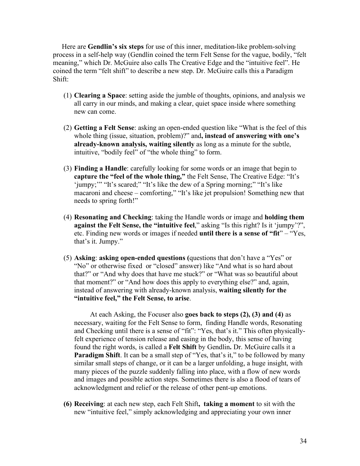Here are **Gendlin's six steps** for use of this inner, meditation-like problem-solving process in a self-help way (Gendlin coined the term Felt Sense for the vague, bodily, "felt meaning," which Dr. McGuire also calls The Creative Edge and the "intuitive feel". He coined the term "felt shift" to describe a new step. Dr. McGuire calls this a Paradigm Shift:

- (1) **Clearing a Space**: setting aside the jumble of thoughts, opinions, and analysis we all carry in our minds, and making a clear, quiet space inside where something new can come.
- (2) **Getting a Felt Sense**: asking an open-ended question like "What is the feel of this whole thing (issue, situation, problem)?" and**, instead of answering with one's already-known analysis, waiting silently** as long as a minute for the subtle, intuitive, "bodily feel" of "the whole thing" to form.
- (3) **Finding a Handle**: carefully looking for some words or an image that begin to **capture the "feel of the whole thing,"** the Felt Sense, The Creative Edge: "It's 'jumpy;'" "It's scared;" "It's like the dew of a Spring morning;" "It's like macaroni and cheese – comforting," "It's like jet propulsion! Something new that needs to spring forth!"
- (4) **Resonating and Checking**: taking the Handle words or image and **holding them against the Felt Sense, the "intuitive feel**," asking "Is this right? Is it 'jumpy'?", etc. Finding new words or images if needed **until there is a sense of "fit**" – "Yes, that's it. Jumpy."
- (5) **Asking**: **asking open-ended questions (**questions that don't have a "Yes" or "No" or otherwise fixed or "closed" answer) like "And what is so hard about that?" or "And why does that have me stuck?" or "What was so beautiful about that moment?" or "And how does this apply to everything else?" and, again, instead of answering with already-known analysis, **waiting silently for the "intuitive feel," the Felt Sense, to arise**.

At each Asking, the Focuser also **goes back to steps (2), (3) and (4)** as necessary, waiting for the Felt Sense to form, finding Handle words, Resonating and Checking until there is a sense of "fit": "Yes, that's it." This often physicallyfelt experience of tension release and easing in the body, this sense of having found the right words, is called a **Felt Shift** by Gendlin**.** Dr. McGuire calls it a **Paradigm Shift**. It can be a small step of "Yes, that's it," to be followed by many similar small steps of change, or it can be a larger unfolding, a huge insight, with many pieces of the puzzle suddenly falling into place, with a flow of new words and images and possible action steps. Sometimes there is also a flood of tears of acknowledgment and relief or the release of other pent-up emotions.

**(6) Receiving**: at each new step, each Felt Shift**, taking a moment** to sit with the new "intuitive feel," simply acknowledging and appreciating your own inner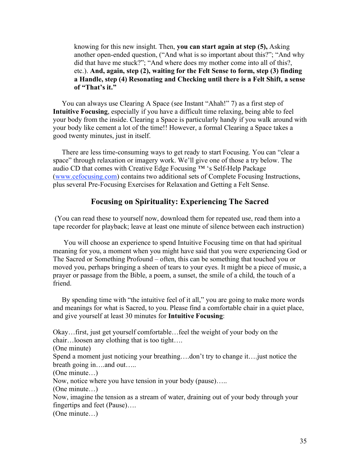knowing for this new insight. Then, **you can start again at step (5),** Asking another open-ended question, ("And what is so important about this?"; "And why did that have me stuck?"; "And where does my mother come into all of this?, etc.). **And, again, step (2), waiting for the Felt Sense to form, step (3) finding a Handle, step (4) Resonating and Checking until there is a Felt Shift, a sense of "That's it."**

You can always use Clearing A Space (see Instant "Ahah!" 7) as a first step of **Intuitive Focusing**, especially if you have a difficult time relaxing, being able to feel your body from the inside. Clearing a Space is particularly handy if you walk around with your body like cement a lot of the time!! However, a formal Clearing a Space takes a good twenty minutes, just in itself.

There are less time-consuming ways to get ready to start Focusing. You can "clear a space" through relaxation or imagery work. We'll give one of those a try below. The audio CD that comes with Creative Edge Focusing ™ 's Self-Help Package (www.cefocusing.com) contains two additional sets of Complete Focusing Instructions, plus several Pre-Focusing Exercises for Relaxation and Getting a Felt Sense.

### **Focusing on Spirituality: Experiencing The Sacred**

(You can read these to yourself now, download them for repeated use, read them into a tape recorder for playback; leave at least one minute of silence between each instruction)

You will choose an experience to spend Intuitive Focusing time on that had spiritual meaning for you, a moment when you might have said that you were experiencing God or The Sacred or Something Profound – often, this can be something that touched you or moved you, perhaps bringing a sheen of tears to your eyes. It might be a piece of music, a prayer or passage from the Bible, a poem, a sunset, the smile of a child, the touch of a friend.

By spending time with "the intuitive feel of it all," you are going to make more words and meanings for what is Sacred, to you. Please find a comfortable chair in a quiet place, and give yourself at least 30 minutes for **Intuitive Focusing**:

Okay…first, just get yourself comfortable…feel the weight of your body on the chair…loosen any clothing that is too tight….

(One minute)

Spend a moment just noticing your breathing….don't try to change it….just notice the breath going in….and out…..

(One minute…)

Now, notice where you have tension in your body (pause)…..

(One minute…)

Now, imagine the tension as a stream of water, draining out of your body through your fingertips and feet (Pause)….

(One minute…)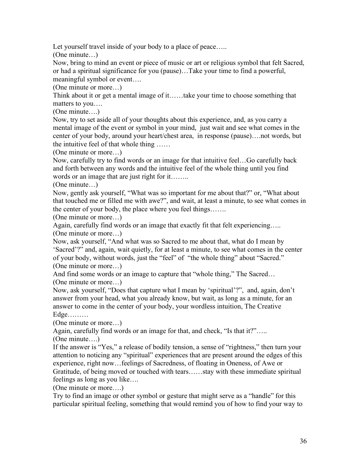Let yourself travel inside of your body to a place of peace.....

(One minute…)

Now, bring to mind an event or piece of music or art or religious symbol that felt Sacred, or had a spiritual significance for you (pause)…Take your time to find a powerful, meaningful symbol or event….

(One minute or more…)

Think about it or get a mental image of it……take your time to choose something that matters to you….

(One minute….)

Now, try to set aside all of your thoughts about this experience, and, as you carry a mental image of the event or symbol in your mind, just wait and see what comes in the center of your body, around your heart/chest area, in response (pause)….not words, but the intuitive feel of that whole thing ……

(One minute or more…)

Now, carefully try to find words or an image for that intuitive feel…Go carefully back and forth between any words and the intuitive feel of the whole thing until you find words or an image that are just right for it….....

(One minute…)

Now, gently ask yourself, "What was so important for me about that?" or, "What about that touched me or filled me with awe?", and wait, at least a minute, to see what comes in the center of your body, the place where you feel things…….

(One minute or more…)

Again, carefully find words or an image that exactly fit that felt experiencing….. (One minute or more…)

Now, ask yourself, "And what was so Sacred to me about that, what do I mean by 'Sacred'?" and, again, wait quietly, for at least a minute, to see what comes in the center of your body, without words, just the "feel" of "the whole thing" about "Sacred." (One minute or more…)

And find some words or an image to capture that "whole thing," The Sacred… (One minute or more…)

Now, ask yourself, "Does that capture what I mean by 'spiritual'?", and, again, don't answer from your head, what you already know, but wait, as long as a minute, for an answer to come in the center of your body, your wordless intuition, The Creative Edge………

(One minute or more…)

Again, carefully find words or an image for that, and check, "Is that it?"..... (One minute….)

If the answer is "Yes," a release of bodily tension, a sense of "rightness," then turn your attention to noticing any "spiritual" experiences that are present around the edges of this experience, right now…feelings of Sacredness, of floating in Oneness, of Awe or Gratitude, of being moved or touched with tears……stay with these immediate spiritual feelings as long as you like….

(One minute or more….)

Try to find an image or other symbol or gesture that might serve as a "handle" for this particular spiritual feeling, something that would remind you of how to find your way to